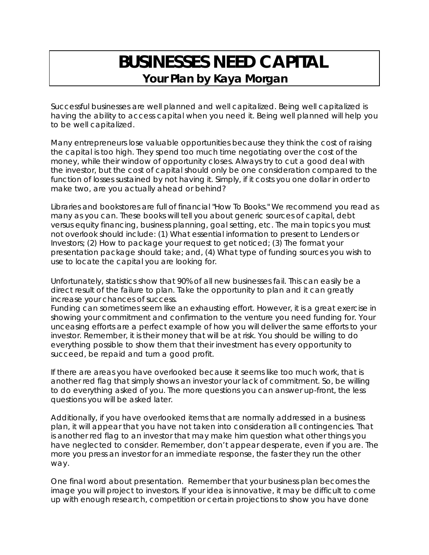## **BUSINESSES NEED CAPITAL Your Plan by Kaya Morgan**

Successful businesses are well planned and well capitalized. Being well capitalized is having the ability to access capital when you need it. Being well planned will help you to be well capitalized.

Many entrepreneurs lose valuable opportunities because they think the cost of raising the capital is too high. They spend too much time negotiating over the cost of the money, while their window of opportunity closes. Always try to cut a good deal with the investor, but the cost of capital should only be one consideration compared to the function of losses sustained by not having it. Simply, if it costs you one dollar in order to make two, are you actually ahead or behind?

Libraries and bookstores are full of financial "How To Books." We recommend you read as many as you can. These books will tell you about generic sources of capital, debt versus equity financing, business planning, goal setting, etc. The main topics you must not overlook should include: (1) What essential information to present to Lenders or Investors; (2) How to package your request to get noticed; (3) The format your presentation package should take; and, (4) What type of funding sources you wish to use to locate the capital you are looking for.

Unfortunately, statistics show that 90% of all new businesses fail. This can easily be a direct result of the failure to plan. Take the opportunity to plan and it can greatly increase your chances of success.

Funding can sometimes seem like an exhausting effort. However, it is a great exercise in showing your commitment and confirmation to the venture you need funding for. Your unceasing efforts are a perfect example of how you will deliver the same efforts to your investor. Remember, it is their money that will be at risk. You should be willing to do everything possible to show them that their investment has every opportunity to succeed, be repaid and turn a good profit.

If there are areas you have overlooked because it seems like too much work, that is another red flag that simply shows an investor your lack of commitment. So, be willing to do everything asked of you. The more questions you can answer up-front, the less questions you will be asked later.

Additionally, if you have overlooked items that are normally addressed in a business plan, it will appear that you have not taken into consideration all contingencies. That is another red flag to an investor that may make him question what other things you have neglected to consider. Remember, don't appear desperate, even if you are. The more you press an investor for an immediate response, the faster they run the other way.

One final word about presentation. Remember that your business plan becomes the image you will project to investors. If your idea is innovative, it may be difficult to come up with enough research, competition or certain projections to show you have done